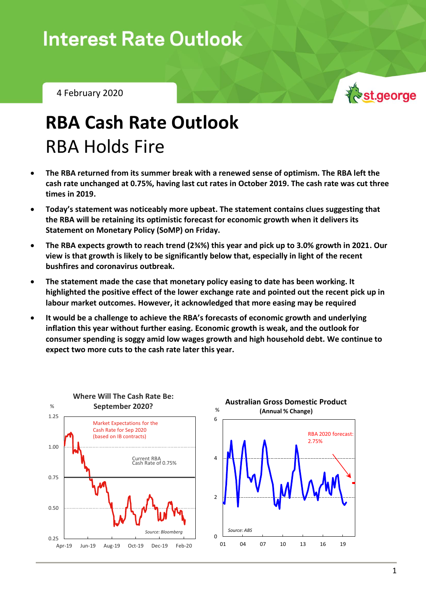4 February 2020



# **RBA Cash Rate Outlook** RBA Holds Fire

- **The RBA returned from its summer break with a renewed sense of optimism. The RBA left the cash rate unchanged at 0.75%, having last cut rates in October 2019. The cash rate was cut three times in 2019.**
- **Today's statement was noticeably more upbeat. The statement contains clues suggesting that the RBA will be retaining its optimistic forecast for economic growth when it delivers its Statement on Monetary Policy (SoMP) on Friday.**
- **The RBA expects growth to reach trend (2¾%) this year and pick up to 3.0% growth in 2021. Our view is that growth is likely to be significantly below that, especially in light of the recent bushfires and coronavirus outbreak.**
- **The statement made the case that monetary policy easing to date has been working. It highlighted the positive effect of the lower exchange rate and pointed out the recent pick up in labour market outcomes. However, it acknowledged that more easing may be required**
- **It would be a challenge to achieve the RBA's forecasts of economic growth and underlying inflation this year without further easing. Economic growth is weak, and the outlook for consumer spending is soggy amid low wages growth and high household debt. We continue to expect two more cuts to the cash rate later this year.**



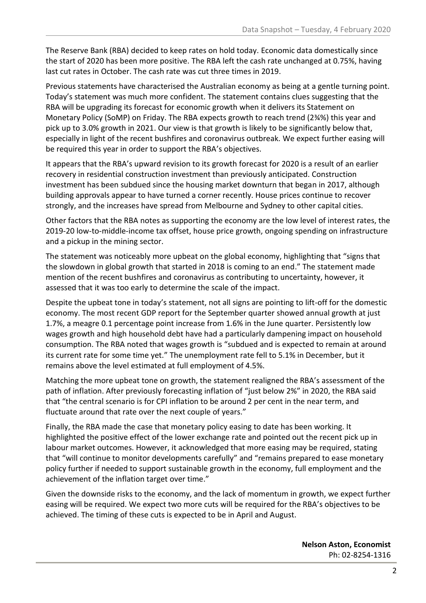The Reserve Bank (RBA) decided to keep rates on hold today. Economic data domestically since the start of 2020 has been more positive. The RBA left the cash rate unchanged at 0.75%, having last cut rates in October. The cash rate was cut three times in 2019.

Previous statements have characterised the Australian economy as being at a gentle turning point. Today's statement was much more confident. The statement contains clues suggesting that the RBA will be upgrading its forecast for economic growth when it delivers its Statement on Monetary Policy (SoMP) on Friday. The RBA expects growth to reach trend (2¾%) this year and pick up to 3.0% growth in 2021. Our view is that growth is likely to be significantly below that, especially in light of the recent bushfires and coronavirus outbreak. We expect further easing will be required this year in order to support the RBA's objectives.

It appears that the RBA's upward revision to its growth forecast for 2020 is a result of an earlier recovery in residential construction investment than previously anticipated. Construction investment has been subdued since the housing market downturn that began in 2017, although building approvals appear to have turned a corner recently. House prices continue to recover strongly, and the increases have spread from Melbourne and Sydney to other capital cities.

Other factors that the RBA notes as supporting the economy are the low level of interest rates, the 2019-20 low-to-middle-income tax offset, house price growth, ongoing spending on infrastructure and a pickup in the mining sector.

The statement was noticeably more upbeat on the global economy, highlighting that "signs that the slowdown in global growth that started in 2018 is coming to an end." The statement made mention of the recent bushfires and coronavirus as contributing to uncertainty, however, it assessed that it was too early to determine the scale of the impact.

Despite the upbeat tone in today's statement, not all signs are pointing to lift-off for the domestic economy. The most recent GDP report for the September quarter showed annual growth at just 1.7%, a meagre 0.1 percentage point increase from 1.6% in the June quarter. Persistently low wages growth and high household debt have had a particularly dampening impact on household consumption. The RBA noted that wages growth is "subdued and is expected to remain at around its current rate for some time yet." The unemployment rate fell to 5.1% in December, but it remains above the level estimated at full employment of 4.5%.

Matching the more upbeat tone on growth, the statement realigned the RBA's assessment of the path of inflation. After previously forecasting inflation of "just below 2%" in 2020, the RBA said that "the central scenario is for CPI inflation to be around 2 per cent in the near term, and fluctuate around that rate over the next couple of years."

Finally, the RBA made the case that monetary policy easing to date has been working. It highlighted the positive effect of the lower exchange rate and pointed out the recent pick up in labour market outcomes. However, it acknowledged that more easing may be required, stating that "will continue to monitor developments carefully" and "remains prepared to ease monetary policy further if needed to support sustainable growth in the economy, full employment and the achievement of the inflation target over time."

Given the downside risks to the economy, and the lack of momentum in growth, we expect further easing will be required. We expect two more cuts will be required for the RBA's objectives to be achieved. The timing of these cuts is expected to be in April and August.